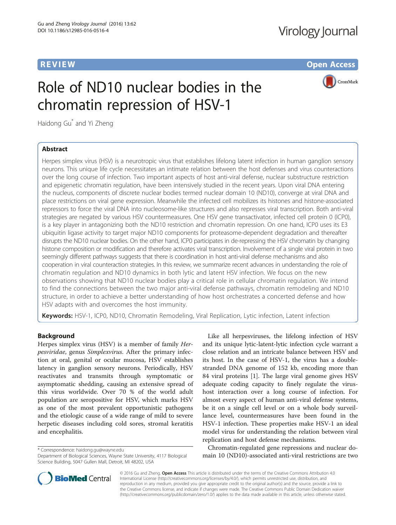# Virology Journal

**REVIEW CONSTRUCTION CONSTRUCTION CONSTRUCTS** 

# Role of ND10 nuclear bodies in the chromatin repression of HSV-1

CrossMark

Haidong Gu\* and Yi Zheng

# Abstract

Herpes simplex virus (HSV) is a neurotropic virus that establishes lifelong latent infection in human ganglion sensory neurons. This unique life cycle necessitates an intimate relation between the host defenses and virus counteractions over the long course of infection. Two important aspects of host anti-viral defense, nuclear substructure restriction and epigenetic chromatin regulation, have been intensively studied in the recent years. Upon viral DNA entering the nucleus, components of discrete nuclear bodies termed nuclear domain 10 (ND10), converge at viral DNA and place restrictions on viral gene expression. Meanwhile the infected cell mobilizes its histones and histone-associated repressors to force the viral DNA into nucleosome-like structures and also represses viral transcription. Both anti-viral strategies are negated by various HSV countermeasures. One HSV gene transactivator, infected cell protein 0 (ICP0), is a key player in antagonizing both the ND10 restriction and chromatin repression. On one hand, ICP0 uses its E3 ubiquitin ligase activity to target major ND10 components for proteasome-dependent degradation and thereafter disrupts the ND10 nuclear bodies. On the other hand, ICP0 participates in de-repressing the HSV chromatin by changing histone composition or modification and therefore activates viral transcription. Involvement of a single viral protein in two seemingly different pathways suggests that there is coordination in host anti-viral defense mechanisms and also cooperation in viral counteraction strategies. In this review, we summarize recent advances in understanding the role of chromatin regulation and ND10 dynamics in both lytic and latent HSV infection. We focus on the new observations showing that ND10 nuclear bodies play a critical role in cellular chromatin regulation. We intend to find the connections between the two major anti-viral defense pathways, chromatin remodeling and ND10 structure, in order to achieve a better understanding of how host orchestrates a concerted defense and how HSV adapts with and overcomes the host immunity.

Keywords: HSV-1, ICP0, ND10, Chromatin Remodeling, Viral Replication, Lytic infection, Latent infection

# Background

Herpes simplex virus (HSV) is a member of family Herpesviridae, genus Simplexvirus. After the primary infection at oral, genital or ocular mucosa, HSV establishes latency in ganglion sensory neurons. Periodically, HSV reactivates and transmits through symptomatic or asymptomatic shedding, causing an extensive spread of this virus worldwide. Over 70 % of the world adult population are seropositive for HSV, which marks HSV as one of the most prevalent opportunistic pathogens and the etiologic cause of a wide range of mild to severe herpetic diseases including cold sores, stromal keratitis and encephalitis.

\* Correspondence: [haidong.gu@wayne.edu](mailto:haidong.gu@wayne.edu)

Like all herpesviruses, the lifelong infection of HSV and its unique lytic-latent-lytic infection cycle warrant a close relation and an intricate balance between HSV and its host. In the case of HSV-1, the virus has a doublestranded DNA genome of 152 kb, encoding more than 84 viral proteins [\[1](#page-5-0)]. The large viral genome gives HSV adequate coding capacity to finely regulate the virushost interaction over a long course of infection. For almost every aspect of human anti-viral defense systems, be it on a single cell level or on a whole body surveillance level, countermeasures have been found in the HSV-1 infection. These properties make HSV-1 an ideal model virus for understanding the relation between viral replication and host defense mechanisms.

Chromatin-regulated gene repressions and nuclear domain 10 (ND10)-associated anti-viral restrictions are two



© 2016 Gu and Zheng. Open Access This article is distributed under the terms of the Creative Commons Attribution 4.0 International License [\(http://creativecommons.org/licenses/by/4.0/](http://creativecommons.org/licenses/by/4.0/)), which permits unrestricted use, distribution, and reproduction in any medium, provided you give appropriate credit to the original author(s) and the source, provide a link to the Creative Commons license, and indicate if changes were made. The Creative Commons Public Domain Dedication waiver [\(http://creativecommons.org/publicdomain/zero/1.0/](http://creativecommons.org/publicdomain/zero/1.0/)) applies to the data made available in this article, unless otherwise stated.

Department of Biological Sciences, Wayne State University, 4117 Biological Science Building, 5047 Gullen Mall, Detroit, MI 48202, USA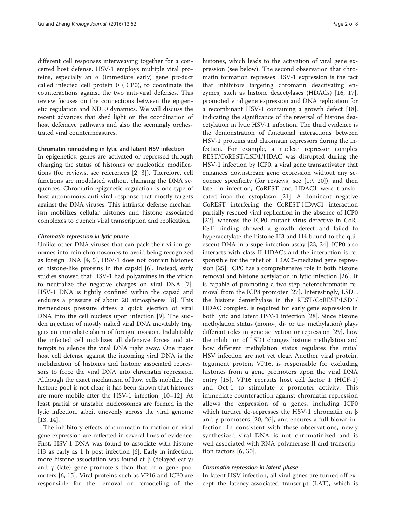different cell responses interweaving together for a concerted host defense. HSV-1 employs multiple viral proteins, especially an α (immediate early) gene product called infected cell protein 0 (ICP0), to coordinate the counteractions against the two anti-viral defenses. This review focuses on the connections between the epigenetic regulation and ND10 dynamics. We will discuss the recent advances that shed light on the coordination of host defensive pathways and also the seemingly orchestrated viral countermeasures.

### Chromatin remodeling in lytic and latent HSV infection

In epigenetics, genes are activated or repressed through changing the status of histones or nucleotide modifications (for reviews, see references [[2, 3\]](#page-5-0)). Therefore, cell functions are modulated without changing the DNA sequences. Chromatin epigenetic regulation is one type of host autonomous anti-viral response that mostly targets against the DNA viruses. This intrinsic defense mechanism mobilizes cellular histones and histone associated complexes to quench viral transcription and replication.

### Chromatin repression in lytic phase

Unlike other DNA viruses that can pack their virion genomes into minichromosomes to avoid being recognized as foreign DNA [[4, 5](#page-5-0)], HSV-1 does not contain histones or histone-like proteins in the capsid [[6\]](#page-5-0). Instead, early studies showed that HSV-1 had polyamines in the virion to neutralize the negative charges on viral DNA [\[7](#page-5-0)]. HSV-1 DNA is tightly confined within the capsid and endures a pressure of about 20 atmospheres [\[8](#page-5-0)]. This tremendous pressure drives a quick ejection of viral DNA into the cell nucleus upon infection [[9\]](#page-5-0). The sudden injection of mostly naked viral DNA inevitably triggers an immediate alarm of foreign invasion. Indubitably the infected cell mobilizes all defensive forces and attempts to silence the viral DNA right away. One major host cell defense against the incoming viral DNA is the mobilization of histones and histone associated repressors to force the viral DNA into chromatin repression. Although the exact mechanism of how cells mobilize the histone pool is not clear, it has been shown that histones are more mobile after the HSV-1 infection [\[10](#page-5-0)–[12\]](#page-5-0). At least partial or unstable nucleosomes are formed in the lytic infection, albeit unevenly across the viral genome [[13, 14\]](#page-5-0).

The inhibitory effects of chromatin formation on viral gene expression are reflected in several lines of evidence. First, HSV-1 DNA was found to associate with histone H3 as early as 1 h post infection [\[6](#page-5-0)]. Early in infection, more histone association was found at  $β$  (delayed early) and  $\gamma$  (late) gene promoters than that of  $\alpha$  gene promoters [\[6](#page-5-0), [15](#page-5-0)]. Viral proteins such as VP16 and ICP0 are responsible for the removal or remodeling of the histones, which leads to the activation of viral gene expression (see below). The second observation that chromatin formation represses HSV-1 expression is the fact that inhibitors targeting chromatin deactivating enzymes, such as histone deacetylases (HDACs) [[16, 17](#page-5-0)], promoted viral gene expression and DNA replication for a recombinant HSV-1 containing a growth defect [\[18](#page-5-0)], indicating the significance of the reversal of histone deacetylation in lytic HSV-1 infection. The third evidence is the demonstration of functional interactions between HSV-1 proteins and chromatin repressors during the infection. For example, a nuclear repressor complex REST/CoREST/LSD1/HDAC was disrupted during the HSV-1 infection by ICP0, a viral gene transactivator that enhances downstream gene expression without any sequence specificity (for reviews, see [[19, 20](#page-5-0)]), and then later in infection, CoREST and HDAC1 were translocated into the cytoplasm [[21\]](#page-5-0). A dominant negative CoREST interfering the CoREST-HDAC1 interaction partially rescued viral replication in the absence of ICP0 [[22\]](#page-5-0), whereas the ICP0 mutant virus defective in CoR-EST binding showed a growth defect and failed to hyperacetylate the histone H3 and H4 bound to the quiescent DNA in a superinfection assay [[23, 24\]](#page-5-0). ICP0 also interacts with class II HDACs and the interaction is responsible for the relief of HDAC5-mediated gene repression [[25\]](#page-5-0). ICP0 has a comprehensive role in both histone removal and histone acetylation in lytic infection [[26\]](#page-5-0). It is capable of promoting a two-step heterochromatin removal from the ICP8 promoter [\[27](#page-5-0)]. Interestingly, LSD1, the histone demethylase in the REST/CoREST/LSD1/ HDAC complex, is required for early gene expression in both lytic and latent HSV-1 infection [\[28](#page-6-0)]. Since histone methylation status (mono-, di- or tri- methylation) plays different roles in gene activation or repression [[29\]](#page-6-0), how the inhibition of LSD1 changes histone methylation and how different methylation status regulates the initial HSV infection are not yet clear. Another viral protein, tegument protein VP16, is responsible for excluding histones from α gene promoters upon the viral DNA entry [[15](#page-5-0)]. VP16 recruits host cell factor 1 (HCF-1) and Oct-1 to stimulate  $\alpha$  promoter activity. This immediate counteraction against chromatin repression allows the expression of  $\alpha$  genes, including ICP0 which further de-represses the HSV-1 chromatin on β and  $\gamma$  promoters [[20, 26\]](#page-5-0), and ensures a full blown infection. In consistent with these observations, newly synthesized viral DNA is not chromatinized and is well associated with RNA polymerase II and transcription factors [[6,](#page-5-0) [30](#page-6-0)].

### Chromatin repression in latent phase

In latent HSV infection, all viral genes are turned off except the latency-associated transcript (LAT), which is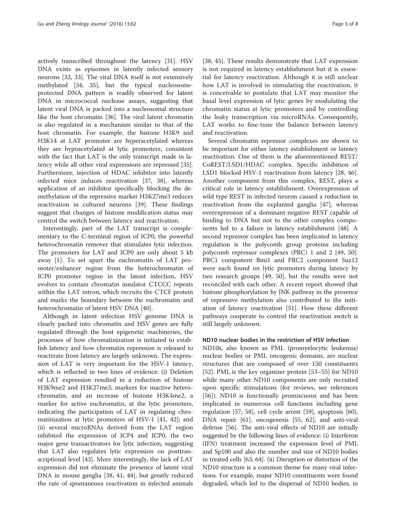actively transcribed throughout the latency [[31\]](#page-6-0). HSV DNA exists as episomes in latently infected sensory neurons [\[32](#page-6-0), [33\]](#page-6-0). The viral DNA itself is not extensively methylated [[34, 35\]](#page-6-0), but the typical nucleosomeprotected DNA pattern is readily observed for latent DNA in micrococcal nuclease assays, suggesting that latent viral DNA is packed into a nucleosomal structure like the host chromatin [\[36](#page-6-0)]. The viral latent chromatin is also regulated in a mechanism similar to that of the host chromatin. For example, the histone H3K9 and H3K14 at LAT promoter are hyperacetylated whereas they are hypoacetylated at lytic promoters, consistent with the fact that LAT is the only transcript made in latency while all other viral expressions are repressed [\[35](#page-6-0)]. Furthermore, injection of HDAC inhibitor into latently infected mice induces reactivation [\[37](#page-6-0), [38\]](#page-6-0), whereas application of an inhibitor specifically blocking the demethylation of the repressive marker H3K27me3 reduces reactivation in cultured neurons [[39](#page-6-0)]. These findings suggest that changes of histone modification status may control the switch between latency and reactivation.

Interestingly, part of the LAT transcript is complementary to the C-terminal region of ICP0, the powerful heterochromatin remover that stimulates lytic infection. The promoters for LAT and ICP0 are only about 5 kb away [\[1](#page-5-0)]. To set apart the euchromatin of LAT promoter/enhancer region from the heterochromatin of ICP0 promoter region in the latent infection, HSV evolves to contain chromatin insulator CTCCC repeats within the LAT intron, which recruits the CTCF protein and marks the boundary between the euchromatin and heterochromatin of latent HSV DNA [[40\]](#page-6-0).

Although in latent infection HSV genome DNA is clearly packed into chromatin and HSV genes are fully regulated through the host epigenetic machineries, the processes of how chromatinization is initiated to establish latency and how chromatin repression is released to reactivate from latency are largely unknown. The expression of LAT is very important for the HSV-1 latency, which is reflected in two lines of evidence: (i) Deletion of LAT expression resulted in a reduction of histone H3K9me2 and H3K27me3, markers for inactive heterochromatin, and an increase of histone H3K4me2, a marker for active euchromatin, at the lytic promoters, indicating the participation of LAT in regulating chromatinization at lytic promoters of HSV-1 [[41, 42\]](#page-6-0); and (ii) several microRNAs derived from the LAT region inhibited the expression of ICP4 and ICP0, the two major gene transactivators for lytic infection, suggesting that LAT also regulates lytic expression on posttranscriptional level [\[43\]](#page-6-0). More interestingly, the lack of LAT expression did not eliminate the presence of latent viral DNA in mouse ganglia [[38](#page-6-0), [41](#page-6-0), [44\]](#page-6-0), but greatly reduced the rate of spontaneous reactivation in infected animals

[[38, 45](#page-6-0)]. These results demonstrate that LAT expression is not required in latency establishment but it is essential for latency reactivation. Although it is still unclear how LAT is involved in stimulating the reactivation, it is conceivable to postulate that LAT may monitor the basal level expression of lytic genes by modulating the chromatin status at lytic promoters and by controlling the leaky transcription via microRNAs. Consequently, LAT works to fine-tune the balance between latency and reactivation.

Several chromatin repressor complexes are shown to be important for either latency establishment or latency reactivation. One of them is the aforementioned REST/ CoREST/LSD1/HDAC complex. Specific inhibition of LSD1 blocked HSV-1 reactivation from latency [[28, 46](#page-6-0)]. Another component from this complex, REST, plays a critical role in latency establishment. Overexpression of wild type REST in infected neuron caused a reduction in reactivation from the explanted ganglia [[47\]](#page-6-0), whereas overexpression of a dominant-negative REST capable of binding to DNA but not to the other complex components led to a failure in latency establishment [[48\]](#page-6-0). A second repressor complex has been implicated in latency regulation is the polycomb group proteins including polycomb repressor complexes (PRC) 1 and 2 [\[49](#page-6-0), [50](#page-6-0)]. PRC1 component Bmi1 and PRC2 component Suz12 were each found on lytic promoters during latency by two research groups [\[49](#page-6-0), [50\]](#page-6-0), but the results were not reconciled with each other. A recent report showed that histone phosphorylation by JNK pathway in the presence of repressive methylation also contributed to the initiation of latency reactivation [\[51\]](#page-6-0). How these different pathways cooperate to control the reactivation switch is still largely unknown.

## ND10 nuclear bodies in the restriction of HSV infection

ND10s, also known as PML (promyelocytic leukemia) nuclear bodies or PML oncogenic domains, are nuclear structures that are composed of over 150 constituents [[52\]](#page-6-0). PML is the key organizer protein [[53](#page-6-0)–[55](#page-6-0)] for ND10 while many other ND10 components are only recruited upon specific stimulations (for reviews, see references [[56\]](#page-6-0)). ND10 is functionally promiscuous and has been implicated in numerous cell functions including gene regulation [[57, 58\]](#page-6-0), cell cycle arrest [\[59](#page-6-0)], apoptosis [\[60](#page-6-0)], DNA repair [\[61](#page-6-0)], oncogenesis [[55, 62](#page-6-0)], and anti-viral defense [[56\]](#page-6-0). The anti-viral effects of ND10 are initially suggested by the following lines of evidence: (i) Interferon (IFN) treatment increased the expression level of PML and Sp100 and also the number and size of ND10 bodies in treated cells [\[63](#page-6-0), [64\]](#page-6-0). (ii) Disruption or distortion of the ND10 structure is a common theme for many viral infections. For example, major ND10 constituents were found degraded, which led to the dispersal of ND10 bodies, in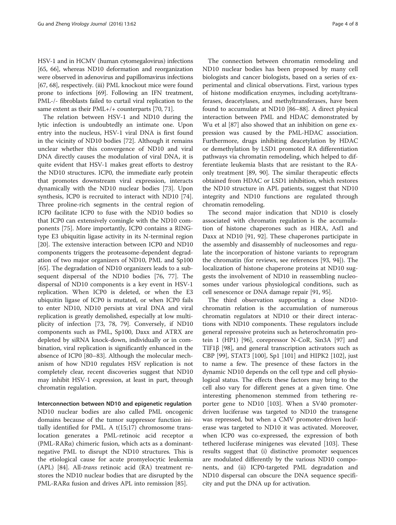HSV-1 and in HCMV (human cytomegalovirus) infections [[65](#page-6-0), [66](#page-6-0)], whereas ND10 deformation and reorganization were observed in adenovirus and papillomavirus infections [[67](#page-6-0), [68](#page-6-0)], respectively. (iii) PML knockout mice were found prone to infections [\[69\]](#page-6-0). Following an IFN treatment, PML-/- fibroblasts failed to curtail viral replication to the same extent as their PML+/+ counterparts [[70, 71\]](#page-6-0).

The relation between HSV-1 and ND10 during the lytic infection is undoubtedly an intimate one. Upon entry into the nucleus, HSV-1 viral DNA is first found in the vicinity of ND10 bodies [[72\]](#page-6-0). Although it remains unclear whether this convergence of ND10 and viral DNA directly causes the modulation of viral DNA, it is quite evident that HSV-1 makes great efforts to destroy the ND10 structures. ICP0, the immediate early protein that promotes downstream viral expression, interacts dynamically with the ND10 nuclear bodies [[73\]](#page-6-0). Upon synthesis, ICP0 is recruited to interact with ND10 [\[74](#page-6-0)]. Three proline-rich segments in the central region of ICP0 facilitate ICP0 to fuse with the ND10 bodies so that ICP0 can extensively comingle with the ND10 components [[75\]](#page-7-0). More importantly, ICP0 contains a RINGtype E3 ubiquitin ligase activity in its N-terminal region [[20\]](#page-5-0). The extensive interaction between ICP0 and ND10 components triggers the proteasome-dependent degradation of two major organizers of ND10, PML and Sp100 [[65\]](#page-6-0). The degradation of ND10 organizers leads to a subsequent dispersal of the ND10 bodies [\[76, 77\]](#page-7-0). The dispersal of ND10 components is a key event in HSV-1 replication. When ICP0 is deleted, or when the E3 ubiquitin ligase of ICP0 is mutated, or when ICP0 fails to enter ND10, ND10 persists at viral DNA and viral replication is greatly demolished, especially at low multiplicity of infection [[73,](#page-6-0) [78](#page-7-0), [79](#page-7-0)]. Conversely, if ND10 components such as PML, Sp100, Daxx and ATRX are depleted by siRNA knock-down, individually or in combination, viral replication is significantly enhanced in the absence of ICP0 [\[80](#page-7-0)–[83\]](#page-7-0). Although the molecular mechanism of how ND10 regulates HSV replication is not completely clear, recent discoveries suggest that ND10 may inhibit HSV-1 expression, at least in part, through chromatin regulation.

Interconnection between ND10 and epigenetic regulation ND10 nuclear bodies are also called PML oncogenic domains because of the tumor suppressor function initially identified for PML. A t(15;17) chromosome translocation generates a PML-retinoic acid receptor α (PML-RARα) chimeric fusion, which acts as a dominantnegative PML to disrupt the ND10 structures. This is the etiological cause for acute promyelocytic leukemia (APL) [\[84](#page-7-0)]. All-trans retinoic acid (RA) treatment restores the ND10 nuclear bodies that are disrupted by the PML-RARα fusion and drives APL into remission [[85\]](#page-7-0).

The connection between chromatin remodeling and ND10 nuclear bodies has been proposed by many cell biologists and cancer biologists, based on a series of experimental and clinical observations. First, various types of histone modification enzymes, including acetyltransferases, deacetylases, and methyltransferases, have been found to accumulate at ND10 [[86](#page-7-0)–[88](#page-7-0)]. A direct physical interaction between PML and HDAC demonstrated by Wu et al [[87\]](#page-7-0) also showed that an inhibition on gene expression was caused by the PML-HDAC association. Furthermore, drugs inhibiting deacetylation by HDAC or demethylation by LSD1 promoted RA differentiation pathways via chromatin remodeling, which helped to differentiate leukemia blasts that are resistant to the RAonly treatment [[89, 90](#page-7-0)]. The similar therapeutic effects obtained from HDAC or LSD1 inhibition, which restores the ND10 structure in APL patients, suggest that ND10 integrity and ND10 functions are regulated through chromatin remodeling.

The second major indication that ND10 is closely associated with chromatin regulation is the accumulation of histone chaperones such as HIRA, Asf1 and Daxx at ND10 [[91, 92](#page-7-0)]. These chaperones participate in the assembly and disassembly of nucleosomes and regulate the incorporation of histone variants to reprogram the chromatin (for reviews, see references [\[93](#page-7-0), [94](#page-7-0)]). The localization of histone chaperone proteins at ND10 suggests the involvement of ND10 in reassembling nucleosomes under various physiological conditions, such as cell senescence or DNA damage repair [[91, 95\]](#page-7-0).

The third observation supporting a close ND10 chromatin relation is the accumulation of numerous chromatin regulators at ND10 or their direct interactions with ND10 components. These regulators include general repressive proteins such as heterochromatin protein 1 (HP1) [\[96](#page-7-0)], corepressor N-CoR, Sin3A [\[97\]](#page-7-0) and TIF1β [[98\]](#page-7-0), and general transcription activators such as CBP [\[99\]](#page-7-0), STAT3 [[100](#page-7-0)], Sp1 [\[101\]](#page-7-0) and HIPK2 [[102](#page-7-0)], just to name a few. The presence of these factors in the dynamic ND10 depends on the cell type and cell physiological status. The effects these factors may bring to the cell also vary for different genes at a given time. One interesting phenomenon stemmed from tethering reporter gene to ND10 [\[103\]](#page-7-0). When a SV40 promoterdriven luciferase was targeted to ND10 the transgene was repressed, but when a CMV promoter-driven luciferase was targeted to ND10 it was activated. Moreover, when ICP0 was co-expressed, the expression of both tethered luciferase minigenes was elevated [\[103\]](#page-7-0). These results suggest that (i) distinctive promoter sequences are modulated differently by the various ND10 components, and (ii) ICP0-targeted PML degradation and ND10 dispersal can obscure the DNA sequence specificity and put the DNA up for activation.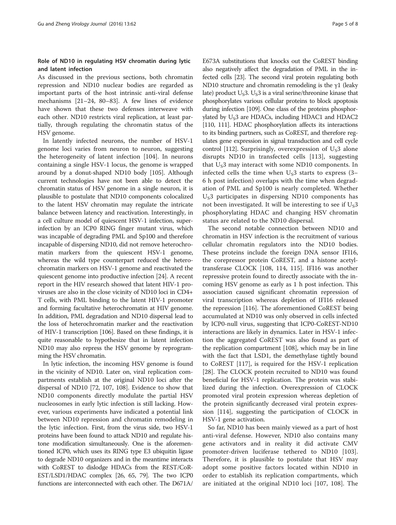# Role of ND10 in regulating HSV chromatin during lytic and latent infection

As discussed in the previous sections, both chromatin repression and ND10 nuclear bodies are regarded as important parts of the host intrinsic anti-viral defense mechanisms [[21](#page-5-0)–[24](#page-5-0), [80](#page-7-0)–[83\]](#page-7-0). A few lines of evidence have shown that these two defenses interweave with each other. ND10 restricts viral replication, at least partially, through regulating the chromatin status of the HSV genome.

In latently infected neurons, the number of HSV-1 genome loci varies from neuron to neuron, suggesting the heterogeneity of latent infection [\[104\]](#page-7-0). In neurons containing a single HSV-1 locus, the genome is wrapped around by a donut-shaped ND10 body [\[105](#page-7-0)]. Although current technologies have not been able to detect the chromatin status of HSV genome in a single neuron, it is plausible to postulate that ND10 components colocalized to the latent HSV chromatin may regulate the intricate balance between latency and reactivation. Interestingly, in a cell culture model of quiescent HSV-1 infection, superinfection by an ICP0 RING finger mutant virus, which was incapable of degrading PML and Sp100 and therefore incapable of dispersing ND10, did not remove heterochromatin markers from the quiescent HSV-1 genome, whereas the wild type counterpart reduced the heterochromatin markers on HSV-1 genome and reactivated the quiescent genome into productive infection [[24\]](#page-5-0). A recent report in the HIV research showed that latent HIV-1 proviruses are also in the close vicinity of ND10 loci in CD4+ T cells, with PML binding to the latent HIV-1 promoter and forming facultative heterochromatin at HIV genome. In addition, PML degradation and ND10 dispersal lead to the loss of heterochromatin marker and the reactivation of HIV-1 transcription [\[106\]](#page-7-0). Based on these findings, it is quite reasonable to hypothesize that in latent infection ND10 may also repress the HSV genome by reprogramming the HSV chromatin.

In lytic infection, the incoming HSV genome is found in the vicinity of ND10. Later on, viral replication compartments establish at the original ND10 loci after the dispersal of ND10 [[72](#page-6-0), [107, 108](#page-7-0)]. Evidence to show that ND10 components directly modulate the partial HSV nucleosomes in early lytic infection is still lacking. However, various experiments have indicated a potential link between ND10 repression and chromatin remodeling in the lytic infection. First, from the virus side, two HSV-1 proteins have been found to attack ND10 and regulate histone modification simultaneously. One is the aforementioned ICP0, which uses its RING type E3 ubiquitin ligase to degrade ND10 organizers and in the meantime interacts with CoREST to dislodge HDACs from the REST/CoR-EST/LSD1/HDAC complex [\[26,](#page-5-0) [65,](#page-6-0) [79\]](#page-7-0). The two ICP0 functions are interconnected with each other. The D671A/

E673A substitutions that knocks out the CoREST binding also negatively affect the degradation of PML in the infected cells [[23](#page-5-0)]. The second viral protein regulating both ND10 structure and chromatin remodeling is the γ1 (leaky late) product  $U_S3$ .  $U_S3$  is a viral serine/threonine kinase that phosphorylates various cellular proteins to block apoptosis during infection [[109](#page-7-0)]. One class of the proteins phosphorylated by  $U_s$ 3 are HDACs, including HDAC1 and HDAC2 [[110, 111](#page-7-0)]. HDAC phosphorylation affects its interactions to its binding partners, such as CoREST, and therefore regulates gene expression in signal transduction and cell cycle control [\[112\]](#page-7-0). Surprisingly, overexpression of  $U<sub>S</sub>3$  alone disrupts ND10 in transfected cells [[113\]](#page-7-0), suggesting that  $U_s$ 3 may interact with some ND10 components. In infected cells the time when  $U_{S}3$  starts to express (3– 6 h post infection) overlaps with the time when degradation of PML and Sp100 is nearly completed. Whether  $U<sub>S</sub>3$  participates in dispersing ND10 components has not been investigated. It will be interesting to see if  $U_s3$ phosphorylating HDAC and changing HSV chromatin status are related to the ND10 dispersal.

The second notable connection between ND10 and chromatin in HSV infection is the recruitment of various cellular chromatin regulators into the ND10 bodies. These proteins include the foreign DNA sensor IFI16, the corepressor protein CoREST, and a histone acetyltransferase CLOCK [\[108, 114](#page-7-0), [115\]](#page-7-0). IFI16 was another repressive protein found to directly associate with the incoming HSV genome as early as 1 h post infection. This association caused significant chromatin repression of viral transcription whereas depletion of IFI16 released the repression [[116\]](#page-7-0). The aforementioned CoREST being accumulated at ND10 was only observed in cells infected by ICP0-null virus, suggesting that ICP0-CoREST-ND10 interactions are likely in dynamics. Later in HSV-1 infection the aggregated CoREST was also found as part of the replication compartment [[108\]](#page-7-0), which may be in line with the fact that LSD1, the demethylase tightly bound to CoREST [[117\]](#page-7-0), is required for the HSV-1 replication [[28\]](#page-6-0). The CLOCK protein recruited to ND10 was found beneficial for HSV-1 replication. The protein was stabilized during the infection. Overexpression of CLOCK promoted viral protein expression whereas depletion of the protein significantly decreased viral protein expression [\[114\]](#page-7-0), suggesting the participation of CLOCK in HSV-1 gene activation.

So far, ND10 has been mainly viewed as a part of host anti-viral defense. However, ND10 also contains many gene activators and in reality it did activate CMV promoter-driven luciferase tethered to ND10 [\[103](#page-7-0)]. Therefore, it is plausible to postulate that HSV may adopt some positive factors located within ND10 in order to establish its replication compartments, which are initiated at the original ND10 loci [\[107](#page-7-0), [108\]](#page-7-0). The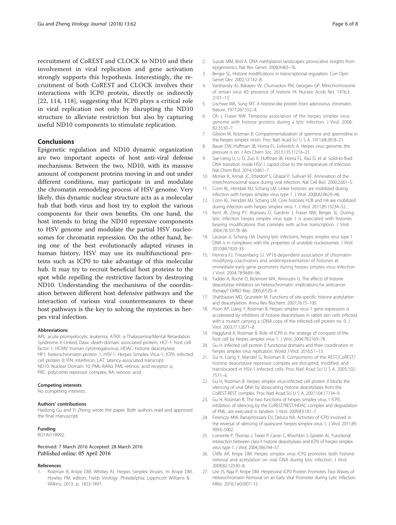<span id="page-5-0"></span>recruitment of CoREST and CLOCK to ND10 and their involvement in viral replication and gene activation strongly supports this hypothesis. Interestingly, the recruitment of both CoREST and CLOCK involves their interactions with ICP0 protein, directly or indirectly [22, [114, 118](#page-7-0)], suggesting that ICP0 plays a critical role in viral replication not only by disrupting the ND10 structure to alleviate restriction but also by capturing useful ND10 components to stimulate replication.

# Conclusions

Epigenetic regulation and ND10 dynamic organization are two important aspects of host anti-viral defense mechanisms. Between the two, ND10, with its massive amount of component proteins moving in and out under different conditions, may participate in and modulate the chromatin remodeling process of HSV genome. Very likely, this dynamic nuclear structure acts as a molecular hub that both virus and host try to exploit the various components for their own benefits. On one hand, the host intends to bring the ND10 repressive components to HSV genome and modulate the partial HSV nucleosomes for chromatin repression. On the other hand, being one of the best evolutionarily adapted viruses in human history, HSV may use its multifunctional proteins such as ICP0 to take advantage of this molecular hub. It may try to recruit beneficial host proteins to the spot while repelling the restrictive factors by destroying ND10. Understanding the mechanisms of the coordination between different host defensive pathways and the interaction of various viral countermeasures to these host pathways is the key to solving the mysteries in herpes viral infection.

#### Abbreviations

APL: acute promyelocytic leukemia; ATRX: α-Thalassemia/Mental Retardation Syndrome X-Linked; Daxx: death-domain associated protein; HCF-1: host cell factor 1; HCMV: human cytomegalovirus; HDAC: histone deacetylase; HP1: heterochromatin protein 1; HSV-1: Herpes Simplex Virus-1; ICP0: infected cell protein 0; IFN: interferon; LAT: latency-associated transcript; ND10: Nuclear Domain 10; PML-RARα: PML-retinoic acid receptor α; PRC: polycomb repressor complex; RA: retinoic acid.

#### Competing interests

No competing interests.

#### Authors' contributions

Haidong Gu and Yi Zheng wrote the paper. Both authors read and approved the final manuscript.

#### Funding

RO1AI118992.

#### Received: 7 March 2016 Accepted: 28 March 2016 Published online: 05 April 2016

#### References

Roizman B, Knipe DM, Whitley RJ. Herpes Simplex Viruses. In: Knipe DM, Howley PM, editors. Fields Virology. Philadelphia: Lippincott Williams & Wilkins; 2013. p. 1823-1897.

- 2. Suzuki MM, Bird A. DNA methylation landscapes: provocative insights from epigenomics. Nat Rev Genet. 2008;9:465–76.
- 3. Berger SL. Histone modifications in transcriptional regulation. Curr Opin Genet Dev. 2002;12:142–8.
- 4. Varshavsky AJ, Bakayev VV, Chumackov PM, Georgiev GP. Minichromosome of simian virus 40: presence of histone HI. Nucleic Acids Res. 1976;3: 2101–13.
- 5. Lischwe MA, Sung MT. A histone-like protein from adenovirus chromatin. Nature. 1977;267:552–4.
- 6. Oh J, Fraser NW. Temporal association of the herpes simplex virus genome with histone proteins during a lytic infection. J Virol. 2008; 82:3530–7.
- 7. Gibson W, Roizman B. Compartmentalization of spermine and spermidine in the herpes simplex virion. Proc Natl Acad Sci U S A. 1971;68:2818–21.
- 8. Bauer DW, Huffman JB, Homa FL, Evilevitch A. Herpes virus genome, the pressure is on. J Am Chem Soc. 2013;135:11216–21.
- 9. Sae-Ueng U, Li D, Zuo X, Huffman JB, Homa FL, Rau D, et al. Solid-to-fluid DNA transition inside HSV-1 capsid close to the temperature of infection. Nat Chem Biol. 2014;10:861–7.
- 10. Monier K, Armas JC, Etteldorf S, Ghazal P, Sullivan KF. Annexation of the interchromosomal space during viral infection. Nat Cell Biol. 2000;2:661–5.
- 11. Conn KL, Hendzel MJ, Schang LM. Linker histones are mobilized during infection with herpes simplex virus type 1. J Virol. 2008;82:8629–46.
- 12. Conn KL, Hendzel MJ, Schang LM. Core histones H2B and H4 are mobilized during infection with herpes simplex virus 1. J Virol. 2011;85:13234–52.
- 13. Kent JR, Zeng PY, Atanasiu D, Gardner J, Fraser NW, Berger SL. During lytic infection herpes simplex virus type 1 is associated with histones bearing modifications that correlate with active transcription. J Virol. 2004;78:10178–86.
- 14. Lacasse JJ, Schang LM. During lytic infections, herpes simplex virus type 1 DNA is in complexes with the properties of unstable nucleosomes. J Virol. 2010;84:1920–33.
- 15. Herrera FJ, Triezenberg SJ. VP16-dependent association of chromatinmodifying coactivators and underrepresentation of histones at immediate-early gene promoters during herpes simplex virus infection. J Virol. 2004;78:9689–96.
- 16. Taddei A, Roche D, Bickmore WA, Almouzni G. The effects of histone deacetylase inhibitors on heterochromatin: implications for anticancer therapy? EMBO Rep. 2005;6:520–4.
- 17. Shahbazian MD, Grunstein M. Functions of site-specific histone acetylation and deacetylation. Annu Rev Biochem. 2007;76:75–100.
- 18. Poon AP, Liang Y, Roizman B. Herpes simplex virus 1 gene expression is accelerated by inhibitors of histone deacetylases in rabbit skin cells infected with a mutant carrying a cDNA copy of the infected-cell protein no. 0. J Virol. 2003;77:12671–8.
- 19. Hagglund R, Roizman B. Role of ICP0 in the strategy of conquest of the host cell by herpes simplex virus 1. J Virol. 2004;78:2169–78.
- 20. Gu H. Infected cell protein 0 functional domains and their coordination in herpes simplex virus replication. World J Virol. 2016;5:1–13.
- 21. Gu H, Liang Y, Mandel G, Roizman B. Components of the REST/CoREST/ histone deacetylase repressor complex are disrupted, modified, and translocated in HSV-1-infected cells. Proc Natl Acad Sci U S A. 2005;102: 7571–6.
- 22. Gu H, Roizman B. Herpes simplex virus-infected cell protein 0 blocks the silencing of viral DNA by dissociating histone deacetylases from the CoREST-REST complex. Proc Natl Acad Sci U S A. 2007;104:17134–9.
- 23. Gu H, Roizman B. The two functions of herpes simplex virus 1 ICP0, inhibition of silencing by the CoREST/REST/HDAC complex and degradation of PML, are executed in tandem. J Virol. 2009;83:181–7.
- 24. Ferenczy MW, Ranayhossaini DJ, Deluca NA. Activities of ICP0 involved in the reversal of silencing of quiescent herpes simplex virus 1. J Virol. 2011;85: 4993–5002.
- 25. Lomonte P, Thomas J, Texier P, Caron C, Khochbin S, Epstein AL. Functional interaction between class II histone deacetylases and ICP0 of herpes simplex virus type 1. J Virol. 2004;78:6744–57.
- 26. Cliffe AR, Knipe DM. Herpes simplex virus ICP0 promotes both histone removal and acetylation on viral DNA during lytic infection. J Virol. 2008;82:12030–8.
- 27. Lee JS, Raja P, Knipe DM. Herpesviral ICP0 Protein Promotes Two Waves of Heterochromatin Removal on an Early Viral Promoter during Lytic Infection. MBio. 2016;7:e02007–15.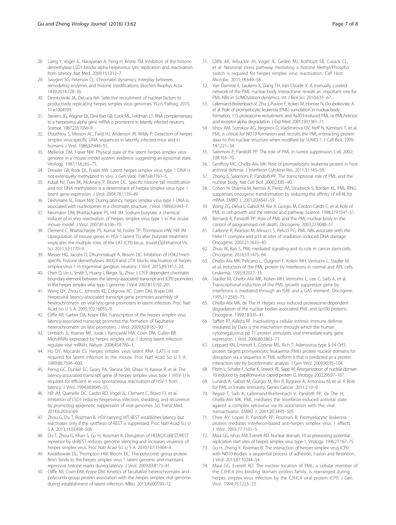- <span id="page-6-0"></span>28. Liang Y, Vogel JL, Narayanan A, Peng H, Kristie TM. Inhibition of the histone demethylase LSD1 blocks alpha-herpesvirus lytic replication and reactivation from latency. Nat Med. 2009;15:1312–7.
- 29. Swygert SG, Peterson CL. Chromatin dynamics: interplay between remodeling enzymes and histone modifications. Biochim Biophys Acta. 1839;2014:728–36.
- 30. Dembowski JA, DeLuca NA. Selective recruitment of nuclear factors to productively replicating herpes simplex virus genomes. PLoS Pathog. 2015; 11:e1004939.
- 31. Stevens JG, Wagner EK, Devi-Rao GB, Cook ML, Feldman LT. RNA complementary to a herpesvirus alpha gene mRNA is prominent in latently infected neurons. Science. 1987;235:1056–9.
- 32. Efstathiou S, Minson AC, Field HJ, Anderson JR, Wildy P. Detection of herpes simplex virus-specific DNA sequences in latently infected mice and in humans. J Virol. 1986;57:446–55.
- 33. Mellerick DM, Fraser NW. Physical state of the latent herpes simplex virus genome in a mouse model system: evidence suggesting an episomal state. Virology. 1987;158:265–75.
- 34. Dressler GR, Rock DL, Fraser NW. Latent herpes simplex virus type 1 DNA is not extensively methylated in vivo. J Gen Virol. 1987;68:1761–5.
- 35. Kubat NJ, Tran RK, McAnany P, Bloom DC. Specific histone tail modification and not DNA methylation is a determinant of herpes simplex virus type 1 latent gene expression. J Virol. 2004;78:1139–49.
- 36. Deshmane SL, Fraser NW. During latency, herpes simplex virus type 1 DNA is associated with nucleosomes in a chromatin structure. J Virol. 1989;63:943–7.
- 37. Neumann DM, Bhattacharjee PS, Hill JM. Sodium butyrate: a chemical inducer of in vivo reactivation of herpes simplex virus type 1 in the ocular mouse model. J Virol. 2007;81:6106–10.
- 38. Clement C, Bhattacharjee PS, Kumar M, Foster TP, Thompson HW, Hill JM. Upregulation of mouse genes in HSV-1 latent TG after butyrate treatment implicates the multiple roles of the LAT-ICP0 locus. Invest Ophthalmol Vis Sci. 2011;52:1770–9.
- 39. Messer HG, Jacobs D, Dhummakupt A, Bloom DC. Inhibition of H3K27me3 specific histone demethylases JMJD3 and UTX blocks reactivation of herpes simplex virus 1 in trigeminal ganglion neurons. J Virol. 2015;89:3417–20.
- 40. Chen Q, Lin L, Smith S, Huang J, Berger SL, Zhou J. CTCF-dependent chromatin boundary element between the latency-associated transcript and ICP0 promoters in the herpes simplex virus type 1 genome. J Virol. 2007;81:5192–201.
- 41. Wang QY, Zhou C, Johnson KE, Colgrove RC, Coen DM, Knipe DM. Herpesviral latency-associated transcript gene promotes assembly of heterochromatin on viral lytic-gene promoters in latent infection. Proc Natl Acad Sci U S A. 2005;102:16055–9.
- 42. Cliffe AR, Garber DA, Knipe DM. Transcription of the herpes simplex virus latency-associated transcript promotes the formation of facultative heterochromatin on lytic promoters. J Virol. 2009;83:8182–90.
- 43. Umbach JL, Kramer MF, Jurak I, Karnowski HW, Coen DM, Cullen BR. MicroRNAs expressed by herpes simplex virus 1 during latent infection regulate viral mRNAs. Nature. 2008;454:780–3.
- 44. Ho DY, Mocarski ES. Herpes simplex virus latent RNA (LAT) is not required for latent infection in the mouse. Proc Natl Acad Sci U S A. 1989;86:7596–600.
- 45. Perng GC, Dunkel EC, Geary PA, Slanina SM, Ghiasi H, Kaiwar R, et al. The latency-associated transcript gene of herpes simplex virus type 1 (HSV-1) is required for efficient in vivo spontaneous reactivation of HSV-1 from latency. J Virol. 1994;68:8045–55.
- 46. Hill JM, Quenelle DC, Cardin RD, Vogel JL, Clement C, Bravo FJ, et al. Inhibition of LSD1 reduces herpesvirus infection, shedding, and recurrence by promoting epigenetic suppression of viral genomes. Sci Transl Med. 2014;6:265ra169.
- 47. Zhou G, Du T, Roizman B. HSV carrying WT REST establishes latency but reactivates only if the synthesis of REST is suppressed. Proc Natl Acad Sci U S A. 2013;110:E498–506.
- 48. Du T, Zhou G, Khan S, Gu H, Roizman B. Disruption of HDAC/CoREST/REST repressor by dnREST reduces genome silencing and increases virulence of herpes simplex virus. Proc Natl Acad Sci U S A. 2010;107:15904–9.
- 49. Kwiatkowski DL, Thompson HW, Bloom DC. The polycomb group protein Bmi1 binds to the herpes simplex virus 1 latent genome and maintains repressive histone marks during latency. J Virol. 2009;83:8173–81.
- 50. Cliffe AR, Coen DM, Knipe DM. Kinetics of facultative heterochromatin and polycomb group protein association with the herpes simplex viral genome during establishment of latent infection. MBio. 2013;4:e00590–12.
- 51. Cliffe AR, Arbuckle JH, Vogel JL, Geden MJ, Rothbart SB, Cusack CL, et al. Neuronal stress pathway mediating a histone Methyl/Phospho switch is required for herpes simplex virus reactivation. Cell Host Microbe. 2015;18:649–58.
- 52. Van Damme E, Laukens K, Dang TH, Van Ostade X. A manually curated network of the PML nuclear body interactome reveals an important role for PML-NBs in SUMOylation dynamics. Int J Biol Sci. 2010;6:51–67.
- 53. Lallemand-Breitenbach V, Zhu J, Puvion F, Koken M, Honore N, Doubeikovsky A, et al. Role of promyelocytic leukemia (PML) sumolation in nuclear body formation, 11S proteasome recruitment, and As2O3-induced PML or PML/retinoic acid receptor alpha degradation. J Exp Med. 2001;193:1361–71.
- 54. Ishov AM, Sotnikov AG, Negorev D, Vladimirova OV, Neff N, Kamitani T, et al. PML is critical for ND10 formation and recruits the PML-interacting protein daxx to this nuclear structure when modified by SUMO-1. J Cell Biol. 1999; 147:221–34.
- 55. Salomoni P, Pandolfi PP. The role of PML in tumor suppression. Cell. 2002; 108:165–70.
- 56. Geoffroy MC, Chelbi-Alix MK. Role of promyelocytic leukemia protein in host antiviral defense. J Interferon Cytokine Res. 2011;31:145–58.
- 57. Zhong S, Salomoni P, Pandolfi PP. The transcriptional role of PML and the nuclear body. Nat Cell Biol. 2000;2:E85–90.
- 58. Cohen N, Sharma M, Kentsis A, Perez JM, Strudwick S, Borden KL. PML RING suppresses oncogenic transformation by reducing the affinity of eIF4E for mRNA. EMBO J. 2001;20:4547–59.
- 59. Wang ZG, Delva L, Gaboli M, Rivi R, Giorgio M, Cordon-Cardo C, et al. Role of PML in cell growth and the retinoic acid pathway. Science. 1998;279:1547–51.
- 60. Bernardi R, Pandolfi PP. Role of PML and the PML-nuclear body in the control of programmed cell death. Oncogene. 2003;22:9048–57.
- 61. Carbone R, Pearson M, Minucci S, Pelicci PG. PML NBs associate with the hMre11 complex and p53 at sites of irradiation induced DNA damage. Oncogene. 2002;21:1633–40.
- 62. Zhou W, Bao S. PML-mediated signaling and its role in cancer stem cells. Oncogene. 2014;33:1475–84.
- 63. Chelbi-Alix MK, Pelicano L, Quignon F, Koken MH, Venturini L, Stadler M, et al. Induction of the PML protein by interferons in normal and APL cells. Leukemia. 1995;9:2027–33.
- 64. Stadler M, Chelbi-Alix MK, Koken MH, Venturini L, Lee C, Saib A, et al. Transcriptional induction of the PML growth suppressor gene by interferons is mediated through an ISRE and a GAS element. Oncogene. 1995;11:2565–73.
- 65. Chelbi-Alix MK, de The H. Herpes virus induced proteasome-dependent degradation of the nuclear bodies-associated PML and Sp100 proteins. Oncogene. 1999;18:935–41.
- 66. Saffert RT, Kalejta RF. Inactivating a cellular intrinsic immune defense mediated by Daxx is the mechanism through which the human cytomegalovirus pp 71 protein stimulates viral immediate-early gene expression. J Virol. 2006;80:3863–71.
- 67. Leppard KN, Emmott E, Cortese MS, Rich T. Adenovirus type 5 E4 Orf3 protein targets promyelocytic leukaemia (PML) protein nuclear domains for disruption via a sequence in PML isoform II that is predicted as a protein interaction site by bioinformatic analysis. J Gen Virol. 2009;90:95–104.
- 68. Florin L, Schafer F, Sotlar K, Streeck RE, Sapp M. Reorganization of nuclear domain 10 induced by papillomavirus capsid protein l2. Virology. 2002;295:97–107.
- 69. Lunardi A, Gaboli M, Giorgio M, Rivi R, Bygrave A, Antoniou M, et al. A Role for PML in Innate Immunity. Genes Cancer. 2011;2:10–9.
- 70. Regad T, Saib A, Lallemand-Breitenbach V, Pandolfi PP, de The H, Chelbi-Alix MK. PML mediates the interferon-induced antiviral state against a complex retrovirus via its association with the viral transactivator. EMBO J. 2001;20:3495–505.
- 71. Chee AV, Lopez P, Pandolfi PP, Roizman B. Promyelocytic leukemia protein mediates interferon-based anti-herpes simplex virus 1 effects. J Virol. 2003;77:7101–5.
- 72. Maul GG, Ishov AM, Everett RD. Nuclear domain 10 as preexisting potential replication start sites of herpes simplex virus type-1. Virology. 1996;217:67–75.
- 73. Gu H, Zheng Y, Roizman B. The interaction of herpes simplex virus ICP0 with ND10 Bodies: a sequential process of adhesion, Fusion and Retention. J Virol. 2013;87:10244–54.
- 74. Maul GG, Everett RD. The nuclear location of PML, a cellular member of the C3HC4 zinc-binding domain protein family, is rearranged during herpes simplex virus infection by the C3HC4 viral protein ICP0. J Gen Virol. 1994;75:1223–33.